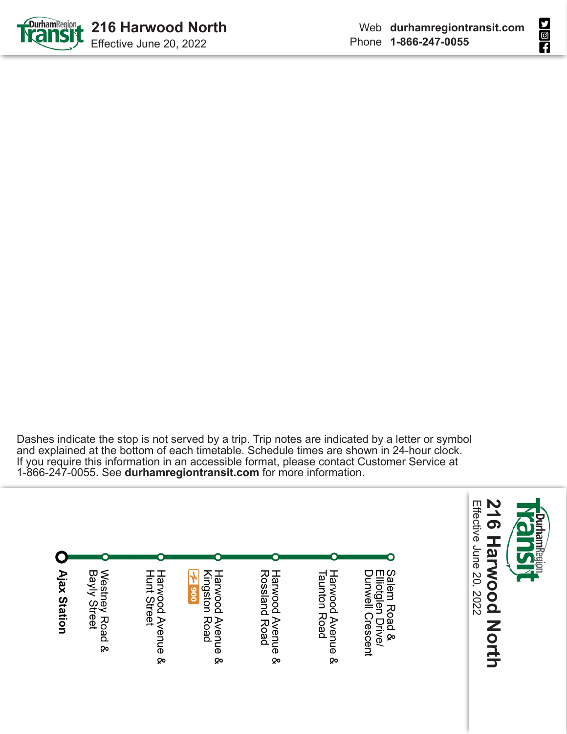



Dashes indicate the stop is not served by a trip. Trip notes are indicated by a letter or symbol and explained at the bottom of each timetable. Schedule times are shown in 24-hour clock. If you require this information in an accessible format, please contact Customer Service at 1-866-247-0055. See **durhamregiontransit.com** for more information.



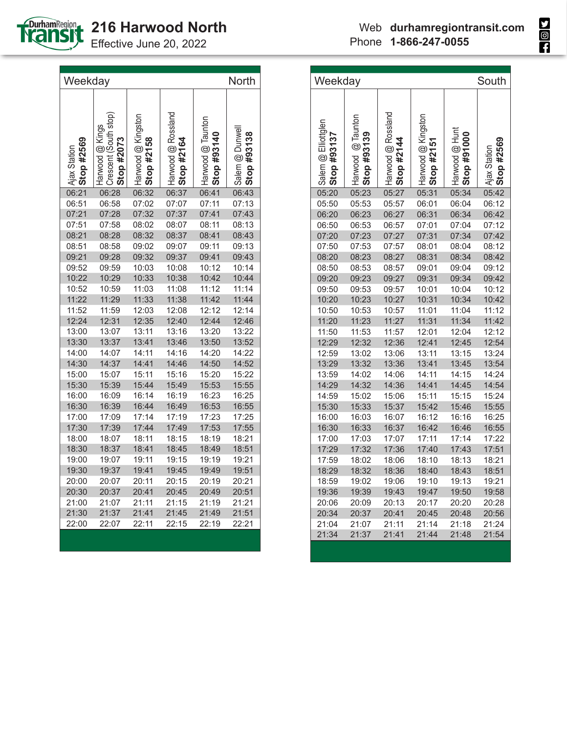

## **216 Harwood North**

Effective June 20, 2022

| Weekday<br><b>North</b>        |                                                            |                                  |                                  |                                  |                                               |
|--------------------------------|------------------------------------------------------------|----------------------------------|----------------------------------|----------------------------------|-----------------------------------------------|
| #2569<br>Ajax Station<br>Stop: | Harwood @ Kings<br>Crescent (South stop)<br>#2073<br>Stop; | Harwood @ Kingston<br>Stop #2158 | Harwood @ Rossland<br>Stop #2164 | Harwood @ Taunton<br>Stop #93140 | Salem @ Dunwel<br>#93138<br>Stop <sub>i</sub> |
| 06:21                          | 06:28                                                      | 06:32                            | 06:37                            | 06:41                            | 06:43                                         |
| 06:51                          | 06:58                                                      | 07:02                            | 07:07                            | 07:11                            | 07:13                                         |
| 07:21                          | 07:28                                                      | 07:32                            | 07:37                            | 07:41                            | 07:43                                         |
| 07:51                          | 07:58                                                      | 08:02                            | 08:07                            | 08:11                            | 08:13                                         |
| 08:21                          | 08:28                                                      | 08:32                            | 08:37                            | 08:41                            | 08:43                                         |
| 08:51                          | 08:58                                                      | 09:02                            | 09:07                            | 09:11                            | 09:13                                         |
| 09:21                          | 09:28                                                      | 09:32                            | 09:37                            | 09:41                            | 09:43                                         |
| 09:52                          | 09:59                                                      | 10:03                            | 10:08                            | 10:12                            | 10:14                                         |
| 10:22                          | 10:29                                                      | 10:33                            | 10:38                            | 10:42                            | 10:44                                         |
| 10:52                          | 10:59                                                      | 11:03                            | 11:08                            | 11:12                            | 11:14                                         |
| 11:22                          | 11:29                                                      | 11:33                            | 11:38                            | 11:42                            | 11:44                                         |
| 11:52                          | 11:59                                                      | 12:03                            | 12:08                            | 12:12                            | 12:14                                         |
| 12:24                          | 12:31                                                      | 12:35                            | 12:40                            | 12:44                            | 12:46                                         |
| 13:00                          | 13:07                                                      | 13:11                            | 13:16                            | 13:20                            | 13:22                                         |
| 13:30                          | 13:37                                                      | 13:41                            | 13:46                            | 13:50                            | 13:52                                         |
| 14:00                          | 14:07                                                      | 14:11                            | 14:16                            | 14:20                            | 14:22                                         |
| 14:30                          | 14:37                                                      | 14:41                            | 14:46                            | 14:50                            | 14:52                                         |
| 15:00                          | 15:07                                                      | 15:11                            | 15:16                            | 15:20                            | 15:22                                         |
| 15:30                          | 15:39                                                      | 15:44                            | 15:49                            | 15:53                            | 15:55                                         |
| 16:00                          | 16:09                                                      | 16:14                            | 16:19                            | 16:23                            | 16:25                                         |
| 16:30                          | 16:39                                                      | 16:44                            | 16:49                            | 16:53                            | 16:55                                         |
| 17:00                          | 17:09                                                      | 17:14                            | 17:19                            | 17:23                            | 17:25                                         |
| 17:30                          | 17:39                                                      | 17:44                            | 17:49                            | 17:53                            | 17:55                                         |
| 18:00                          | 18:07                                                      | 18:11                            | 18:15                            | 18:19                            | 18:21                                         |
| 18:30                          | 18:37                                                      | 18:41                            | 18:45                            | 18:49                            | 18:51                                         |
| 19:00                          | 19:07                                                      | 19:11                            | 19:15                            | 19:19                            | 19:21                                         |
| 19:30                          | 19:37                                                      | 19:41                            | 19:45                            | 19:49                            | 19:51                                         |
| 20:00                          | 20:07                                                      | 20:11                            | 20:15                            | 20:19                            | 20:21                                         |
| 20:30                          | 20:37                                                      | 20:41                            | 20:45                            | 20:49                            | 20:51                                         |
| 21:00                          | 21:07                                                      | 21:11                            | 21:15                            | 21:19                            | 21:21                                         |
| 21:30                          | 21:37                                                      | 21:41                            | 21:45                            | 21:49                            | 21:51                                         |
| 22:00                          | 22:07                                                      | 22:11                            | 22:15                            | 22:19                            | 22:21                                         |
|                                |                                                            |                                  |                                  |                                  |                                               |

| Weekday<br>South                   |                                  |                                  |                                  |                               |                            |
|------------------------------------|----------------------------------|----------------------------------|----------------------------------|-------------------------------|----------------------------|
| Salem @ Elliottglen<br>Stop #93137 | Harwood @ Taunton<br>Stop #93139 | Harwood @ Rossland<br>Stop #2144 | Harwood @ Kingston<br>Stop #2151 | Harwood @ Hunt<br>Stop #91000 | Stop #2569<br>Ajax Station |
| 05:20                              | 05:23                            | 05:27                            | 05:31                            | 05:34                         | 05:42                      |
| 05:50                              | 05:53                            | 05:57                            | 06:01                            | 06:04                         | 06:12                      |
| 06:20                              | 06:23                            | 06:27                            | 06:31                            | 06:34                         | 06:42                      |
| 06:50                              | 06:53                            | 06:57                            | 07:01                            | 07:04                         | 07:12                      |
| 07:20                              | 07:23                            | 07:27                            | 07:31                            | 07:34                         | 07:42                      |
| 07:50                              | 07:53                            | 07:57                            | 08:01                            | 08:04                         | 08:12                      |
| 08:20                              | 08:23                            | 08:27                            | 08:31                            | 08:34                         | 08:42                      |
| 08:50                              | 08:53                            | 08:57                            | 09:01                            | 09:04                         | 09:12                      |
| 09:20                              | 09:23                            | 09:27                            | 09:31                            | 09:34                         | 09:42                      |
| 09:50                              | 09:53                            | 09:57                            | 10:01                            | 10:04                         | 10:12                      |
| 10:20                              | 10:23                            | 10:27                            | 10:31                            | 10:34                         | 10:42                      |
| 10:50                              | 10:53                            | 10:57                            | 11:01                            | 11:04                         | 11:12                      |
| 11:20                              | 11:23                            | 11:27                            | 11:31                            | 11:34                         | 11:42                      |
| 11:50                              | 11:53                            | 11:57                            | 12:01                            | 12:04                         | 12:12                      |
| 12:29                              | 12:32                            | 12:36                            | 12:41                            | 12:45                         | 12:54                      |
| 12:59                              | 13:02                            | 13:06                            | 13:11                            | 13:15                         | 13:24                      |
| 13:29                              | 13:32                            | 13:36                            | 13:41                            | 13:45                         | 13:54                      |
| 13:59                              | 14:02                            | 14:06                            | 14:11                            | 14:15                         | 14:24                      |
| 14:29                              | 14:32                            | 14:36                            | 14:41                            | 14:45                         | 14:54                      |
| 14:59                              | 15:02                            | 15:06                            | 15:11                            | 15:15                         | 15:24                      |
| 15:30                              | 15:33                            | 15:37                            | 15:42                            | 15:46                         | 15:55                      |
| 16:00                              | 16:03                            | 16:07                            | 16:12                            | 16:16                         | 16:25                      |
| 16:30                              | 16:33                            | 16:37                            | 16:42                            | 16:46                         | 16:55                      |
| 17:00                              | 17:03                            | 17:07                            | 17:11                            | 17:14                         | 17:22                      |
| 17:29                              | 17:32                            | 17:36                            | 17:40                            | 17:43                         | 17:51                      |
| 17:59                              | 18:02                            | 18:06                            | 18:10                            | 18:13                         | 18:21                      |
| 18:29                              | 18:32                            | 18:36                            | 18:40                            | 18:43                         | 18:51                      |
| 18:59                              | 19:02                            | 19:06                            | 19:10<br>19:47                   | 19:13                         | 19:21<br>19:58             |
| 19:36<br>20:06                     | 19:39<br>20:09                   | 19:43<br>20:13                   | 20:17                            | 19:50<br>20:20                |                            |
| 20:34                              | 20:37                            | 20:41                            | 20:45                            | 20:48                         | 20:28<br>20:56             |
| 21:04                              | 21:07                            | 21:11                            | 21:14                            | 21:18                         | 21:24                      |
| 21:34                              | 21:37                            | 21:41                            | 21:44                            | 21:48                         | 21:54                      |
|                                    |                                  |                                  |                                  |                               |                            |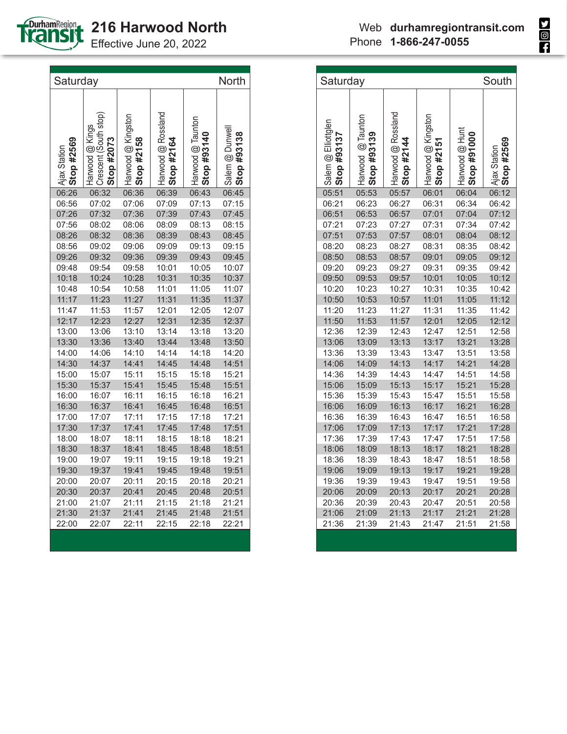

## **216 Harwood North**

Effective June 20, 2022

| Saturday<br>North          |                                                  |                                  |                                  |                                  |                                |
|----------------------------|--------------------------------------------------|----------------------------------|----------------------------------|----------------------------------|--------------------------------|
| Stop #2569<br>Ajax Station | Harwood @ Kings<br>Crescent (South<br>Stop #2073 | Harwood @ Kingston<br>Stop #2158 | Harwood @ Rossland<br>Stop #2164 | Harwood @ Taunton<br>Stop #93140 | Salem @ Dunwell<br>Stop #93138 |
| 06:26                      | 06:32                                            | 06:36                            | 06:39                            | 06:43                            | 06:45                          |
| 06:56                      | 07:02                                            | 07:06                            | 07:09                            | 07:13                            | 07:15                          |
| 07:26                      | 07:32                                            | 07:36                            | 07:39                            | 07:43                            | 07:45                          |
| 07:56                      | 08:02                                            | 08:06                            | 08:09                            | 08:13                            | 08:15                          |
| 08:26                      | 08:32                                            | 08:36                            | 08:39                            | 08:43                            | 08:45                          |
| 08:56                      | 09:02                                            | 09:06                            | 09:09                            | 09:13                            | 09:15                          |
| 09:26                      | 09:32                                            | 09:36                            | 09:39                            | 09:43                            | 09:45                          |
| 09:48                      | 09:54                                            | 09:58                            | 10:01                            | 10:05                            | 10:07                          |
| 10:18                      | 10:24                                            | 10:28                            | 10:31                            | 10:35                            | 10:37                          |
| 10:48                      | 10:54                                            | 10:58                            | 11:01                            | 11:05                            | 11:07                          |
| 11:17                      | 11:23                                            | 11:27                            | 11:31                            | 11:35                            | 11:37                          |
| 11:47                      | 11:53                                            | 11:57                            | 12:01                            | 12:05                            | 12:07                          |
| 12:17                      | 12:23                                            | 12:27                            | 12:31                            | 12:35                            | 12:37                          |
| 13:00                      | 13:06                                            | 13:10                            | 13:14                            | 13:18                            | 13:20                          |
| 13:30                      | 13:36                                            | 13:40                            | 13:44                            | 13:48                            | 13:50                          |
| 14:00                      | 14:06                                            | 14:10                            | 14:14                            | 14:18                            | 14:20                          |
| 14:30                      | 14:37                                            | 14:41                            | 14:45                            | 14:48                            | 14:51                          |
| 15:00                      | 15:07                                            | 15:11                            | 15:15                            | 15:18                            | 15:21                          |
| 15:30                      | 15:37                                            | 15:41                            | 15:45                            | 15:48                            | 15:51                          |
| 16:00                      | 16:07                                            | 16:11                            | 16:15                            | 16:18                            | 16:21                          |
| 16:30                      | 16:37                                            | 16:41                            | 16:45                            | 16:48                            | 16:51<br>17:21                 |
| 17:00<br>17:30             | 17:07<br>17:37                                   | 17:11<br>17:41                   | 17:15<br>17:45                   | 17:18<br>17:48                   | 17:51                          |
| 18:00                      | 18:07                                            | 18:11                            | 18:15                            | 18:18                            | 18:21                          |
| 18:30                      | 18:37                                            | 18:41                            | 18:45                            | 18:48                            | 18:51                          |
| 19:00                      | 19:07                                            | 19:11                            | 19:15                            | 19:18                            | 19:21                          |
| 19:30                      | 19:37                                            | 19:41                            | 19:45                            | 19:48                            | 19:51                          |
| 20:00                      | 20:07                                            | 20:11                            | 20:15                            | 20:18                            | 20:21                          |
| 20:30                      | 20:37                                            | 20:41                            | 20:45                            | 20:48                            | 20:51                          |
| 21:00                      | 21:07                                            | 21:11                            | 21:15                            | 21:18                            | 21:21                          |
| 21:30                      | 21:37                                            | 21:41                            | 21:45                            | 21:48                            | 21:51                          |
| 22:00                      | 22:07                                            | 22:11                            | 22:15                            | 22:18                            | 22:21                          |
|                            |                                                  |                                  |                                  |                                  |                                |

| Saturday<br>South                                  |                                  |                                  |                                    |                                   |                                  |
|----------------------------------------------------|----------------------------------|----------------------------------|------------------------------------|-----------------------------------|----------------------------------|
| Salem @ Elliottglen<br>#93137<br>Stop <sub>i</sub> | Harwood @ Taunton<br>Stop #93139 | Harwood @ Rossland<br>Stop #2144 | Harwood @ Kingston<br>#215<br>Stop | Harwood @ Hunt<br>#91000<br>Stop: | #2569<br>Station<br>Stop<br>Ajax |
| 05:51                                              | 05:53                            | 05:57                            | 06:01                              | 06:04                             | 06:12                            |
| 06:21                                              | 06:23                            | 06:27                            | 06:31                              | 06:34                             | 06:42                            |
| 06:51                                              | 06:53                            | 06:57                            | 07:01                              | 07:04                             | 07:12                            |
| 07:21                                              | 07:23                            | 07:27                            | 07:31                              | 07:34                             | 07:42                            |
| 07:51                                              | 07:53                            | 07:57                            | 08:01                              | 08:04                             | 08:12                            |
| 08:20                                              | 08:23                            | 08:27                            | 08:31                              | 08:35                             | 08:42                            |
| 08:50                                              | 08:53                            | 08:57                            | 09:01                              | 09:05                             | 09:12                            |
| 09:20                                              | 09:23                            | 09:27                            | 09:31                              | 09:35                             | 09:42                            |
| 09:50                                              | 09:53                            | 09:57                            | 10:01                              | 10:05                             | 10:12                            |
| 10:20                                              | 10:23                            | 10:27                            | 10:31                              | 10:35                             | 10:42                            |
| 10:50                                              | 10:53                            | 10:57                            | 11:01                              | 11:05                             | 11:12                            |
| 11:20                                              | 11:23                            | 11:27                            | 11:31                              | 11:35                             | 11:42                            |
| 11:50                                              | 11:53                            | 11:57                            | 12:01                              | 12:05                             | 12:12                            |
| 12:36                                              | 12:39                            | 12:43                            | 12:47                              | 12:51                             | 12:58                            |
| 13:06                                              | 13:09                            | 13:13                            | 13:17                              | 13:21                             | 13:28                            |
| 13:36                                              | 13:39                            | 13:43                            | 13:47                              | 13:51                             | 13:58                            |
| 14:06                                              | 14:09                            | 14:13                            | 14:17                              | 14:21                             | 14:28                            |
| 14:36                                              | 14:39                            | 14:43                            | 14:47                              | 14:51                             | 14:58                            |
| 15:06                                              | 15:09                            | 15:13                            | 15:17                              | 15:21                             | 15:28                            |
| 15:36                                              | 15:39                            | 15:43                            | 15:47                              | 15:51                             | 15:58                            |
| 16:06<br>16:36                                     | 16:09                            | 16:13<br>16:43                   | 16:17<br>16:47                     | 16:21<br>16:51                    | 16:28                            |
| 17:06                                              | 16:39<br>17:09                   | 17:13                            | 17:17                              | 17:21                             | 16:58<br>17:28                   |
| 17:36                                              | 17:39                            | 17:43                            | 17:47                              | 17:51                             | 17:58                            |
| 18:06                                              | 18:09                            | 18:13                            | 18:17                              | 18:21                             | 18:28                            |
| 18:36                                              | 18:39                            | 18:43                            | 18:47                              | 18:51                             | 18:58                            |
| 19:06                                              | 19:09                            | 19:13                            | 19:17                              | 19:21                             | 19:28                            |
| 19:36                                              | 19:39                            | 19:43                            | 19:47                              | 19:51                             | 19:58                            |
| 20:06                                              | 20:09                            | 20:13                            | 20:17                              | 20:21                             | 20:28                            |
| 20:36                                              | 20:39                            | 20:43                            | 20:47                              | 20:51                             | 20:58                            |
| 21:06                                              | 21:09                            | 21:13                            | 21:17                              | 21:21                             | 21:28                            |
| 21:36                                              | 21:39                            | 21:43                            | 21:47                              | 21:51                             | 21:58                            |
|                                                    |                                  |                                  |                                    |                                   |                                  |